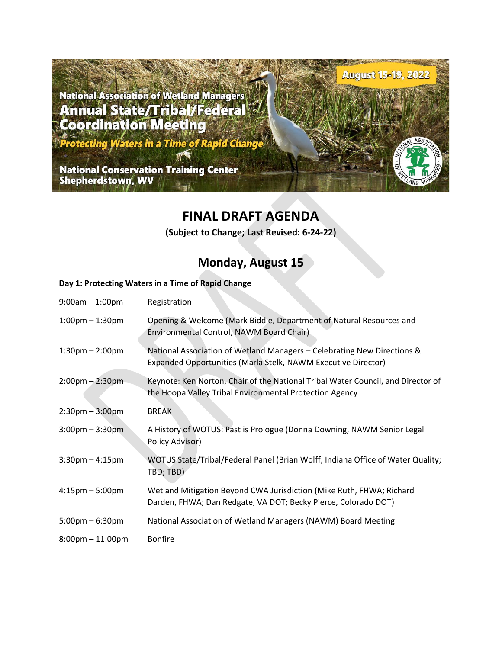**National Association of Wetland Managers<br>Annual State/Tribal/Federal Coordination Meeting** 

Protecting Waters in a Time of Rapid Chang

**National Conservation Training Center<br>Shepherdstown, WV** 

## **FINAL DRAFT AGENDA**

**August 15-19, 2022** 

**(Subject to Change; Last Revised: 6-24-22)**

## **Monday, August 15**

### **Day 1: Protecting Waters in a Time of Rapid Change**

| $9:00am - 1:00pm$                  | Registration                                                                                                                                |
|------------------------------------|---------------------------------------------------------------------------------------------------------------------------------------------|
| $1:00$ pm $-1:30$ pm               | Opening & Welcome (Mark Biddle, Department of Natural Resources and<br>Environmental Control, NAWM Board Chair)                             |
| $1:30$ pm $- 2:00$ pm              | National Association of Wetland Managers - Celebrating New Directions &<br>Expanded Opportunities (Marla Stelk, NAWM Executive Director)    |
| $2:00 \text{pm} - 2:30 \text{pm}$  | Keynote: Ken Norton, Chair of the National Tribal Water Council, and Director of<br>the Hoopa Valley Tribal Environmental Protection Agency |
| $2:30 \text{pm} - 3:00 \text{pm}$  | <b>BREAK</b>                                                                                                                                |
| $3:00$ pm $-3:30$ pm               | A History of WOTUS: Past is Prologue (Donna Downing, NAWM Senior Legal<br>Policy Advisor)                                                   |
| $3:30$ pm $-4:15$ pm               | WOTUS State/Tribal/Federal Panel (Brian Wolff, Indiana Office of Water Quality;<br>TBD; TBD)                                                |
| $4:15 \text{pm} - 5:00 \text{pm}$  | Wetland Mitigation Beyond CWA Jurisdiction (Mike Ruth, FHWA; Richard<br>Darden, FHWA; Dan Redgate, VA DOT; Becky Pierce, Colorado DOT)      |
| $5:00 \text{pm} - 6:30 \text{pm}$  | National Association of Wetland Managers (NAWM) Board Meeting                                                                               |
| $8:00 \text{pm} - 11:00 \text{pm}$ | <b>Bonfire</b>                                                                                                                              |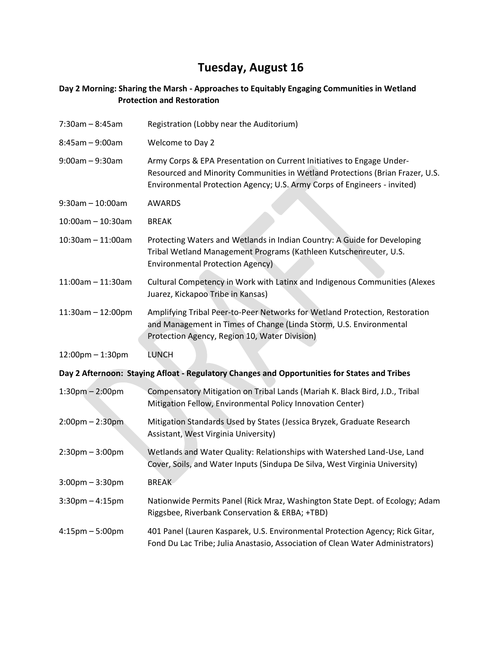# **Tuesday, August 16**

### **Day 2 Morning: Sharing the Marsh - Approaches to Equitably Engaging Communities in Wetland Protection and Restoration**

| $7:30am - 8:45am$                                                                            | Registration (Lobby near the Auditorium)                                                                                                                                                                                           |  |  |
|----------------------------------------------------------------------------------------------|------------------------------------------------------------------------------------------------------------------------------------------------------------------------------------------------------------------------------------|--|--|
| $8:45am - 9:00am$                                                                            | Welcome to Day 2                                                                                                                                                                                                                   |  |  |
| $9:00am - 9:30am$                                                                            | Army Corps & EPA Presentation on Current Initiatives to Engage Under-<br>Resourced and Minority Communities in Wetland Protections (Brian Frazer, U.S.<br>Environmental Protection Agency; U.S. Army Corps of Engineers - invited) |  |  |
| $9:30$ am - 10:00am                                                                          | <b>AWARDS</b>                                                                                                                                                                                                                      |  |  |
| $10:00$ am - 10:30am                                                                         | <b>BREAK</b>                                                                                                                                                                                                                       |  |  |
| $10:30$ am $- 11:00$ am                                                                      | Protecting Waters and Wetlands in Indian Country: A Guide for Developing<br>Tribal Wetland Management Programs (Kathleen Kutschenreuter, U.S.<br>Environmental Protection Agency)                                                  |  |  |
| $11:00$ am - $11:30$ am                                                                      | Cultural Competency in Work with Latinx and Indigenous Communities (Alexes<br>Juarez, Kickapoo Tribe in Kansas)                                                                                                                    |  |  |
| $11:30$ am - 12:00pm                                                                         | Amplifying Tribal Peer-to-Peer Networks for Wetland Protection, Restoration<br>and Management in Times of Change (Linda Storm, U.S. Environmental<br>Protection Agency, Region 10, Water Division)                                 |  |  |
| 12:00pm - 1:30pm                                                                             | <b>LUNCH</b>                                                                                                                                                                                                                       |  |  |
| Day 2 Afternoon: Staying Afloat - Regulatory Changes and Opportunities for States and Tribes |                                                                                                                                                                                                                                    |  |  |
| $1:30$ pm $- 2:00$ pm                                                                        | Compensatory Mitigation on Tribal Lands (Mariah K. Black Bird, J.D., Tribal<br>Mitigation Fellow, Environmental Policy Innovation Center)                                                                                          |  |  |
| $2:00 \text{pm} - 2:30 \text{pm}$                                                            | Mitigation Standards Used by States (Jessica Bryzek, Graduate Research<br>Assistant, West Virginia University)                                                                                                                     |  |  |
| $2:30$ pm $-3:00$ pm                                                                         | Wetlands and Water Quality: Relationships with Watershed Land-Use, Land<br>Cover, Soils, and Water Inputs (Sindupa De Silva, West Virginia University)                                                                             |  |  |
| $3:00$ pm – $3:30$ pm                                                                        | <b>BREAK</b>                                                                                                                                                                                                                       |  |  |
| $3:30$ pm $-4:15$ pm                                                                         | Nationwide Permits Panel (Rick Mraz, Washington State Dept. of Ecology; Adam<br>Riggsbee, Riverbank Conservation & ERBA; +TBD)                                                                                                     |  |  |
| $4:15$ pm $-5:00$ pm                                                                         | 401 Panel (Lauren Kasparek, U.S. Environmental Protection Agency; Rick Gitar,<br>Fond Du Lac Tribe; Julia Anastasio, Association of Clean Water Administrators)                                                                    |  |  |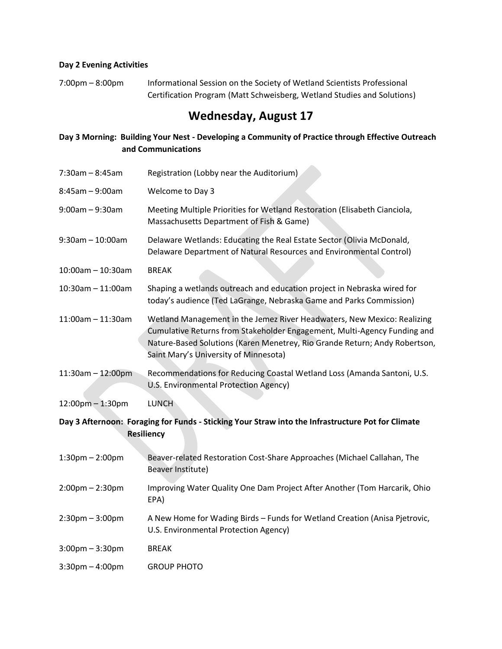### **Day 2 Evening Activities**

7:00pm - 8:00pm Informational Session on the Society of Wetland Scientists Professional Certification Program (Matt Schweisberg, Wetland Studies and Solutions)

## **Wednesday, August 17**

### **Day 3 Morning: Building Your Nest - Developing a Community of Practice through Effective Outreach and Communications**

i.

| $7:30am - 8:45am$                                                                                                      | Registration (Lobby near the Auditorium)                                                                                                                                                                                                                                   |  |
|------------------------------------------------------------------------------------------------------------------------|----------------------------------------------------------------------------------------------------------------------------------------------------------------------------------------------------------------------------------------------------------------------------|--|
| $8:45am - 9:00am$                                                                                                      | Welcome to Day 3                                                                                                                                                                                                                                                           |  |
| $9:00am - 9:30am$                                                                                                      | Meeting Multiple Priorities for Wetland Restoration (Elisabeth Cianciola,<br>Massachusetts Department of Fish & Game)                                                                                                                                                      |  |
| $9:30$ am $-10:00$ am                                                                                                  | Delaware Wetlands: Educating the Real Estate Sector (Olivia McDonald,<br>Delaware Department of Natural Resources and Environmental Control)                                                                                                                               |  |
| $10:00$ am - 10:30am                                                                                                   | <b>BREAK</b>                                                                                                                                                                                                                                                               |  |
| $10:30$ am - 11:00am                                                                                                   | Shaping a wetlands outreach and education project in Nebraska wired for<br>today's audience (Ted LaGrange, Nebraska Game and Parks Commission)                                                                                                                             |  |
| $11:00$ am - $11:30$ am                                                                                                | Wetland Management in the Jemez River Headwaters, New Mexico: Realizing<br>Cumulative Returns from Stakeholder Engagement, Multi-Agency Funding and<br>Nature-Based Solutions (Karen Menetrey, Rio Grande Return; Andy Robertson,<br>Saint Mary's University of Minnesota) |  |
| 11:30am - 12:00pm                                                                                                      | Recommendations for Reducing Coastal Wetland Loss (Amanda Santoni, U.S.<br>U.S. Environmental Protection Agency)                                                                                                                                                           |  |
| 12:00pm - 1:30pm                                                                                                       | <b>LUNCH</b>                                                                                                                                                                                                                                                               |  |
| Day 3 Afternoon: Foraging for Funds - Sticking Your Straw into the Infrastructure Pot for Climate<br><b>Resiliency</b> |                                                                                                                                                                                                                                                                            |  |
| $1:30$ pm $- 2:00$ pm                                                                                                  | Beaver-related Restoration Cost-Share Approaches (Michael Callahan, The<br>Beaver Institute)                                                                                                                                                                               |  |
| $2:00$ pm $- 2:30$ pm                                                                                                  | Improving Water Quality One Dam Project After Another (Tom Harcarik, Ohio<br>EPA)                                                                                                                                                                                          |  |
| $2:30$ pm $-3:00$ pm                                                                                                   | A New Home for Wading Birds - Funds for Wetland Creation (Anisa Pjetrovic,<br>U.S. Environmental Protection Agency)                                                                                                                                                        |  |
| $3:00$ pm $-3:30$ pm                                                                                                   | <b>BREAK</b>                                                                                                                                                                                                                                                               |  |
| $3:30$ pm $-4:00$ pm                                                                                                   | <b>GROUP PHOTO</b>                                                                                                                                                                                                                                                         |  |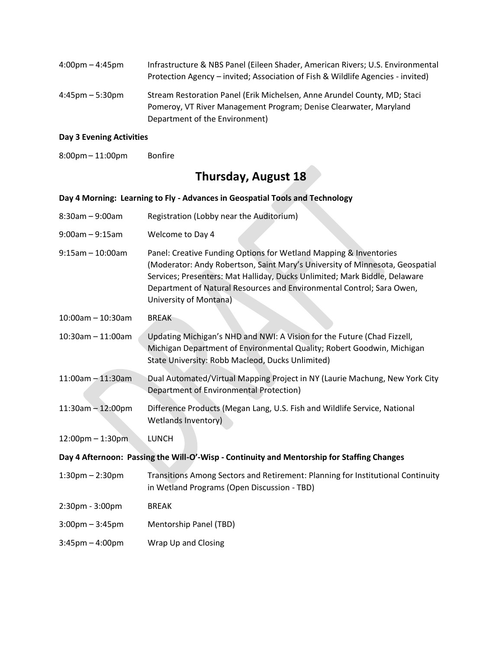| $4:00 \text{pm} - 4:45 \text{pm}$ | Infrastructure & NBS Panel (Eileen Shader, American Rivers; U.S. Environmental<br>Protection Agency – invited; Association of Fish & Wildlife Agencies - invited) |
|-----------------------------------|-------------------------------------------------------------------------------------------------------------------------------------------------------------------|
| $4:45$ pm $-5:30$ pm              | Stream Restoration Panel (Erik Michelsen, Anne Arundel County, MD; Staci<br>Pomeroy, VT River Management Program; Denise Clearwater, Maryland                     |
|                                   | Department of the Environment)                                                                                                                                    |

#### **Day 3 Evening Activities**

8:00pm– 11:00pm Bonfire

## **Thursday, August 18**

#### **Day 4 Morning: Learning to Fly - Advances in Geospatial Tools and Technology**

- 8:30am 9:00am Registration (Lobby near the Auditorium)
- 9:00am 9:15am Welcome to Day 4
- 9:15am 10:00am Panel: Creative Funding Options for Wetland Mapping & Inventories (Moderator: Andy Robertson, Saint Mary's University of Minnesota, Geospatial Services; Presenters: Mat Halliday, Ducks Unlimited; Mark Biddle, Delaware Department of Natural Resources and Environmental Control; Sara Owen, University of Montana)
- 10:00am 10:30am BREAK
- 10:30am 11:00am Updating Michigan's NHD and NWI: A Vision for the Future (Chad Fizzell, Michigan Department of Environmental Quality; Robert Goodwin, Michigan State University: Robb Macleod, Ducks Unlimited)
- 11:00am 11:30am Dual Automated/Virtual Mapping Project in NY (Laurie Machung, New York City Department of Environmental Protection)
- 11:30am 12:00pm Difference Products (Megan Lang, U.S. Fish and Wildlife Service, National Wetlands Inventory)

12:00pm – 1:30pm LUNCH

### **Day 4 Afternoon: Passing the Will-O'-Wisp - Continuity and Mentorship for Staffing Changes**

- 1:30pm 2:30pm Transitions Among Sectors and Retirement: Planning for Institutional Continuity in Wetland Programs (Open Discussion - TBD)
- 2:30pm 3:00pm BREAK
- 3:00pm 3:45pm Mentorship Panel (TBD)
- 3:45pm 4:00pm Wrap Up and Closing